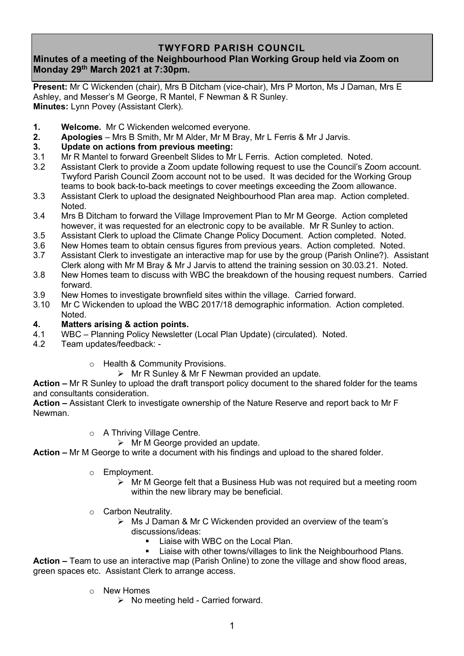# **TWYFORD PARISH COUNCIL**

# **Minutes of a meeting of the Neighbourhood Plan Working Group held via Zoom on Monday 29th March 2021 at 7:30pm.**

**Present:** Mr C Wickenden (chair), Mrs B Ditcham (vice-chair), Mrs P Morton, Ms J Daman, Mrs E Ashley, and Messer's M George, R Mantel, F Newman & R Sunley. **Minutes:** Lynn Povey (Assistant Clerk).

- **1. Welcome.** Mr C Wickenden welcomed everyone.
- **2. Apologies** Mrs B Smith, Mr M Alder, Mr M Bray, Mr L Ferris & Mr J Jarvis.

## **3. Update on actions from previous meeting:**

- 3.1 Mr R Mantel to forward Greenbelt Slides to Mr L Ferris. Action completed. Noted.
- 3.2 Assistant Clerk to provide a Zoom update following request to use the Council's Zoom account. Twyford Parish Council Zoom account not to be used. It was decided for the Working Group teams to book back-to-back meetings to cover meetings exceeding the Zoom allowance.
- 3.3 Assistant Clerk to upload the designated Neighbourhood Plan area map. Action completed. Noted.
- 3.4 Mrs B Ditcham to forward the Village Improvement Plan to Mr M George. Action completed however, it was requested for an electronic copy to be available. Mr R Sunley to action.
- 3.5 Assistant Clerk to upload the Climate Change Policy Document. Action completed. Noted.
- 3.6 New Homes team to obtain census figures from previous years. Action completed. Noted.
- 3.7 Assistant Clerk to investigate an interactive map for use by the group (Parish Online?). Assistant Clerk along with Mr M Bray & Mr J Jarvis to attend the training session on 30.03.21. Noted.
- 3.8 New Homes team to discuss with WBC the breakdown of the housing request numbers. Carried forward.
- 3.9 New Homes to investigate brownfield sites within the village. Carried forward.
- 3.10 Mr C Wickenden to upload the WBC 2017/18 demographic information. Action completed. Noted.

## **4. Matters arising & action points.**

- 4.1 WBC Planning Policy Newsletter (Local Plan Update) (circulated). Noted.
- 4.2 Team updates/feedback:
	- o Health & Community Provisions.

 $\triangleright$  Mr R Sunley & Mr F Newman provided an update.

**Action –** Mr R Sunley to upload the draft transport policy document to the shared folder for the teams and consultants consideration.

**Action –** Assistant Clerk to investigate ownership of the Nature Reserve and report back to Mr F Newman.

- o A Thriving Village Centre.
	- $\triangleright$  Mr M George provided an update.

**Action –** Mr M George to write a document with his findings and upload to the shared folder.

- o Employment.
	- ➢ Mr M George felt that a Business Hub was not required but a meeting room within the new library may be beneficial.
- o Carbon Neutrality.
	- ➢ Ms J Daman & Mr C Wickenden provided an overview of the team's discussions/ideas:
		- Liaise with WBC on the Local Plan.
		- Liaise with other towns/villages to link the Neighbourhood Plans.

**Action –** Team to use an interactive map (Parish Online) to zone the village and show flood areas, green spaces etc. Assistant Clerk to arrange access.

- o New Homes
	- ➢ No meeting held Carried forward.